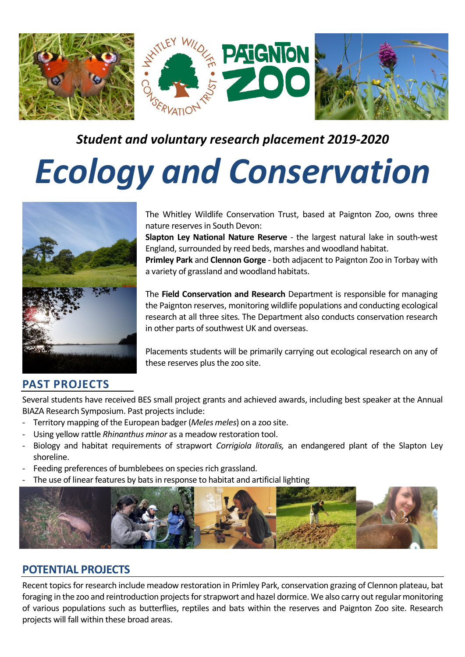

# *Ecology and Conservation*



The Whitley Wildlife Conservation Trust, based at Paignton Zoo, owns three nature reserves in South Devon:

**Slapton Ley National Nature Reserve** - the largest natural lake in south-west England, surrounded by reed beds, marshes and woodland habitat. **Primley Park** and **Clennon Gorge** - both adjacent to Paignton Zoo in Torbay with a variety of grassland and woodland habitats.

The **Field Conservation and Research** Department is responsible for managing the Paignton reserves, monitoring wildlife populations and conducting ecological research at all three sites. The Department also conducts conservation research in other parts of southwest UK and overseas.

Placements students will be primarily carrying out ecological research on any of these reserves plus the zoo site.

## **PAST PROJECTS**

Several students have received BES small project grants and achieved awards, including best speaker at the Annual BIAZA Research Symposium. Past projects include:

- Territory mapping of the European badger (*Meles meles*) on a zoo site.
- Using yellow rattle *Rhinanthus minor* as a meadow restoration tool.
- Biology and habitat requirements of strapwort *Corrigiola litoralis,* an endangered plant of the Slapton Ley shoreline.
- Feeding preferences of bumblebees on species rich grassland.
- The use of linear features by bats in response to habitat and artificial lighting



#### **POTENTIAL PROJECTS**

Recent topics for research include meadow restoration in Primley Park, conservation grazing of Clennon plateau, bat foraging in the zoo and reintroduction projects for strapwort and hazel dormice. We also carry out regular monitoring of various populations such as butterflies, reptiles and bats within the reserves and Paignton Zoo site. Research projects will fall within these broad areas.